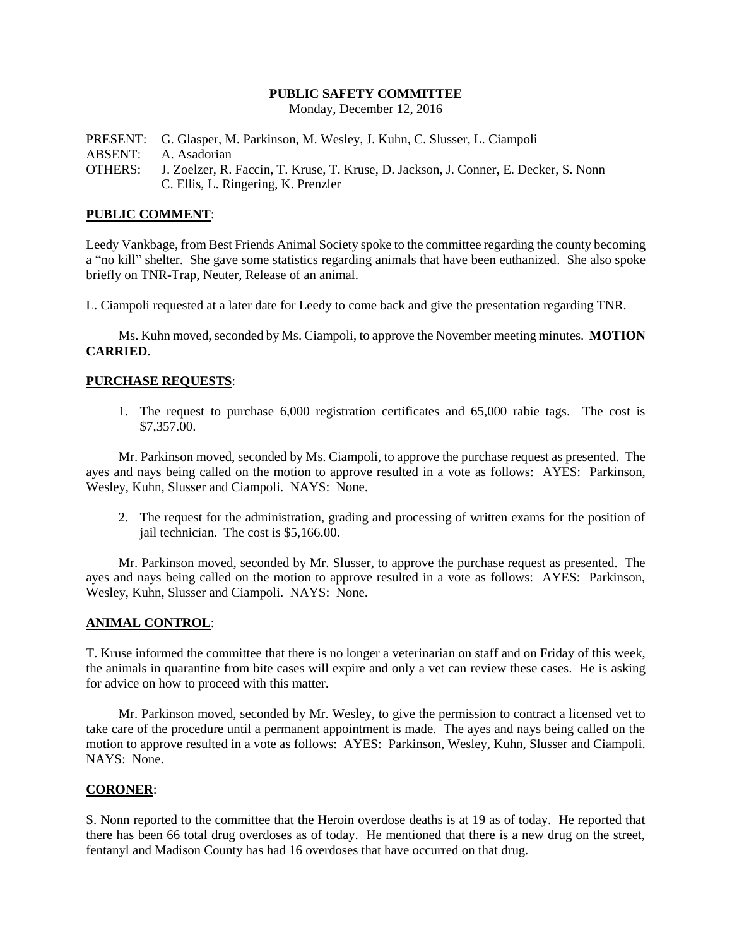# **PUBLIC SAFETY COMMITTEE**

Monday, December 12, 2016

PRESENT: G. Glasper, M. Parkinson, M. Wesley, J. Kuhn, C. Slusser, L. Ciampoli ABSENT: A. Asadorian OTHERS: J. Zoelzer, R. Faccin, T. Kruse, T. Kruse, D. Jackson, J. Conner, E. Decker, S. Nonn C. Ellis, L. Ringering, K. Prenzler

## **PUBLIC COMMENT**:

Leedy Vankbage, from Best Friends Animal Society spoke to the committee regarding the county becoming a "no kill" shelter. She gave some statistics regarding animals that have been euthanized. She also spoke briefly on TNR-Trap, Neuter, Release of an animal.

L. Ciampoli requested at a later date for Leedy to come back and give the presentation regarding TNR.

Ms. Kuhn moved, seconded by Ms. Ciampoli, to approve the November meeting minutes. **MOTION CARRIED.**

## **PURCHASE REQUESTS**:

1. The request to purchase 6,000 registration certificates and 65,000 rabie tags. The cost is \$7,357.00.

Mr. Parkinson moved, seconded by Ms. Ciampoli, to approve the purchase request as presented. The ayes and nays being called on the motion to approve resulted in a vote as follows: AYES: Parkinson, Wesley, Kuhn, Slusser and Ciampoli. NAYS: None.

2. The request for the administration, grading and processing of written exams for the position of jail technician. The cost is \$5,166.00.

Mr. Parkinson moved, seconded by Mr. Slusser, to approve the purchase request as presented. The ayes and nays being called on the motion to approve resulted in a vote as follows: AYES: Parkinson, Wesley, Kuhn, Slusser and Ciampoli. NAYS: None.

#### **ANIMAL CONTROL**:

T. Kruse informed the committee that there is no longer a veterinarian on staff and on Friday of this week, the animals in quarantine from bite cases will expire and only a vet can review these cases. He is asking for advice on how to proceed with this matter.

Mr. Parkinson moved, seconded by Mr. Wesley, to give the permission to contract a licensed vet to take care of the procedure until a permanent appointment is made. The ayes and nays being called on the motion to approve resulted in a vote as follows: AYES: Parkinson, Wesley, Kuhn, Slusser and Ciampoli. NAYS: None.

#### **CORONER**:

S. Nonn reported to the committee that the Heroin overdose deaths is at 19 as of today. He reported that there has been 66 total drug overdoses as of today. He mentioned that there is a new drug on the street, fentanyl and Madison County has had 16 overdoses that have occurred on that drug.